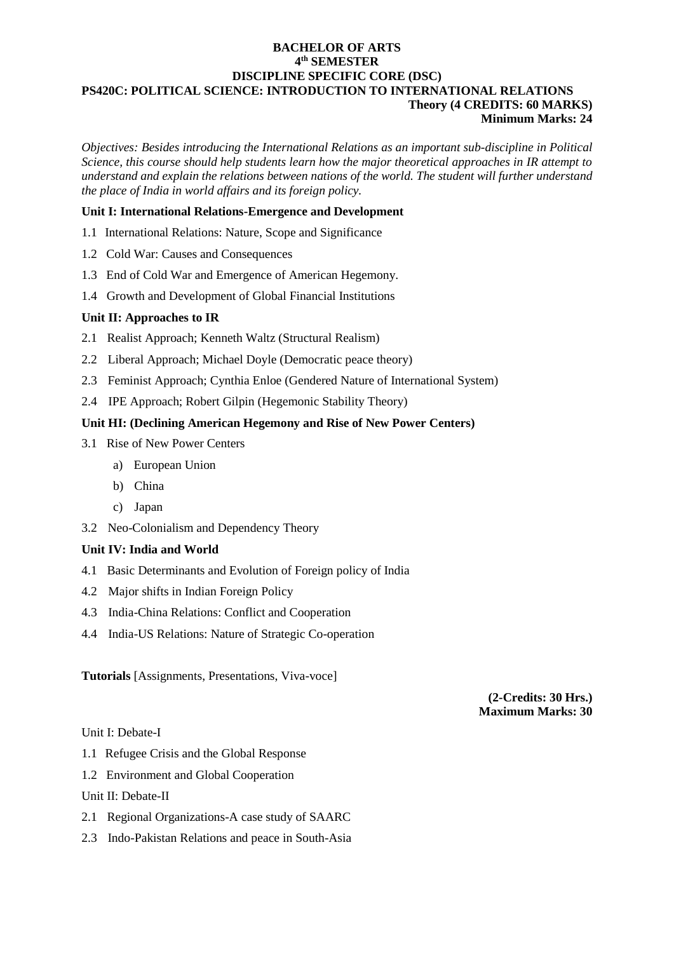## **BACHELOR OF ARTS 4 th SEMESTER DISCIPLINE SPECIFIC CORE (DSC) PS420C: POLITICAL SCIENCE: INTRODUCTION TO INTERNATIONAL RELATIONS Theory (4 CREDITS: 60 MARKS)**

#### **Minimum Marks: 24**

*Objectives: Besides introducing the International Relations as an important sub-discipline in Political Science, this course should help students learn how the major theoretical approaches in IR attempt to understand and explain the relations between nations of the world. The student will further understand the place of India in world affairs and its foreign policy.*

## **Unit I: International Relations-Emergence and Development**

- 1.1 International Relations: Nature, Scope and Significance
- 1.2 Cold War: Causes and Consequences
- 1.3 End of Cold War and Emergence of American Hegemony.
- 1.4 Growth and Development of Global Financial Institutions

## **Unit II: Approaches to IR**

- 2.1 Realist Approach; Kenneth Waltz (Structural Realism)
- 2.2 Liberal Approach; Michael Doyle (Democratic peace theory)
- 2.3 Feminist Approach; Cynthia Enloe (Gendered Nature of International System)
- 2.4 IPE Approach; Robert Gilpin (Hegemonic Stability Theory)

## **Unit HI: (Declining American Hegemony and Rise of New Power Centers)**

- 3.1 Rise of New Power Centers
	- a) European Union
	- b) China
	- c) Japan
- 3.2 Neo-Colonialism and Dependency Theory

# **Unit IV: India and World**

- 4.1 Basic Determinants and Evolution of Foreign policy of India
- 4.2 Major shifts in Indian Foreign Policy
- 4.3 India-China Relations: Conflict and Cooperation
- 4.4 India-US Relations: Nature of Strategic Co-operation

**Tutorials** [Assignments, Presentations, Viva-voce]

**(2-Credits: 30 Hrs.) Maximum Marks: 30**

Unit I: Debate-I

- 1.1 Refugee Crisis and the Global Response
- 1.2 Environment and Global Cooperation

Unit II: Debate-II

- 2.1 Regional Organizations-A case study of SAARC
- 2.3 Indo-Pakistan Relations and peace in South-Asia